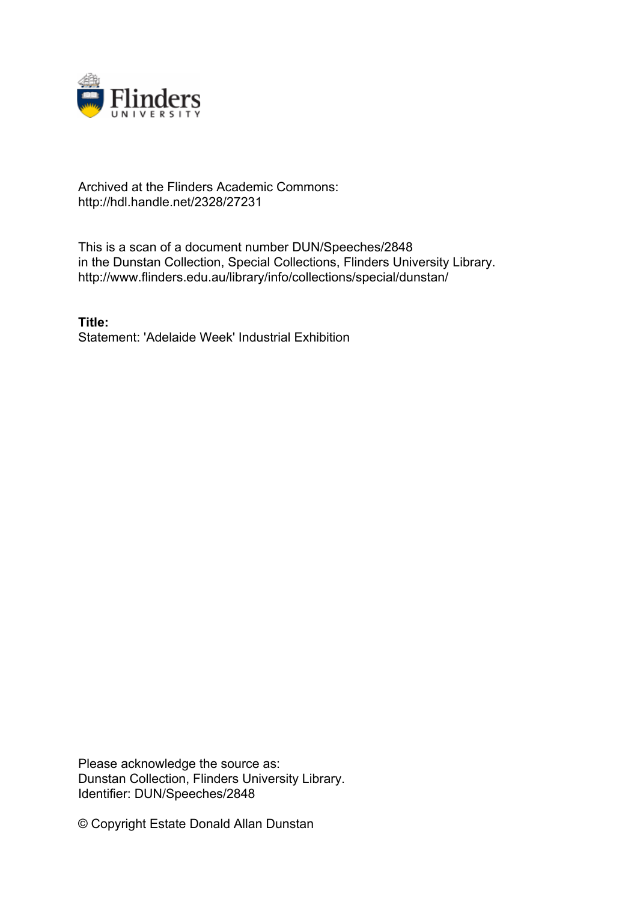

## Archived at the Flinders Academic Commons: http://hdl.handle.net/2328/27231

This is a scan of a document number DUN/Speeches/2848 in the Dunstan Collection, Special Collections, Flinders University Library. http://www.flinders.edu.au/library/info/collections/special/dunstan/

**Title:** Statement: 'Adelaide Week' Industrial Exhibition

Please acknowledge the source as: Dunstan Collection, Flinders University Library. Identifier: DUN/Speeches/2848

© Copyright Estate Donald Allan Dunstan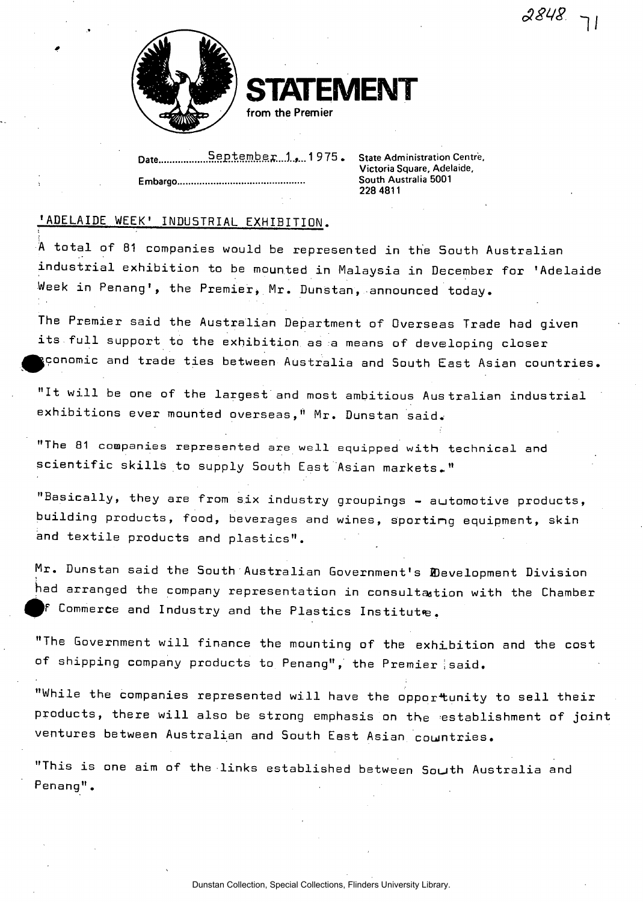$2848.7$ 



**STATEMENT from the Premier** 

Date September.1., 1975. State Administration Centre, **Embargo...................................** 

**Victoria Square, Adelaide,**  228 4811

## 'ADELAIDE WEEK' INDUSTRIAL EXHIBITION.

A total of 81 companies would be represented in the South Australian industrial exhibition to be mounted in Malaysia in December for 'Adelaide Week in Penang', the Premier, Mr. Dunstan, announced today.

The Premier said the Australian Department of Overseas Trade had given its.full support to the exhibition as a means of developing closer pconomic and trade ties between Australia and South East Asian countries.

"It will be one of the largest and most ambitious Australian industrial exhibitions ever mounted overseas," Mr. Dunstan said.

"The 81 companies represented are well equipped with technical and scientific skills to supply South East Asian markets.,"

"Basically, they are from six industry groupings - automotive products, building products, food, beverages and wines, sporting equipment, skin and textile products and plastics".

Mr. Dunstan said the South Australian Government's Development Division had arranged the company representation in consultation with the Chamber ^ f Commerce and Industry and the Plastics Institute.

"The Government will finance the mounting of the exhibition and the cost of shipping company products to Penang", the Premier said.

"While the companies represented will have the opportunity to sell their products, there will also be strong emphasis on the establishment of joint ventures between Australian and South East Asian countries.

"This is one aim of the links established between South Australia and Penang".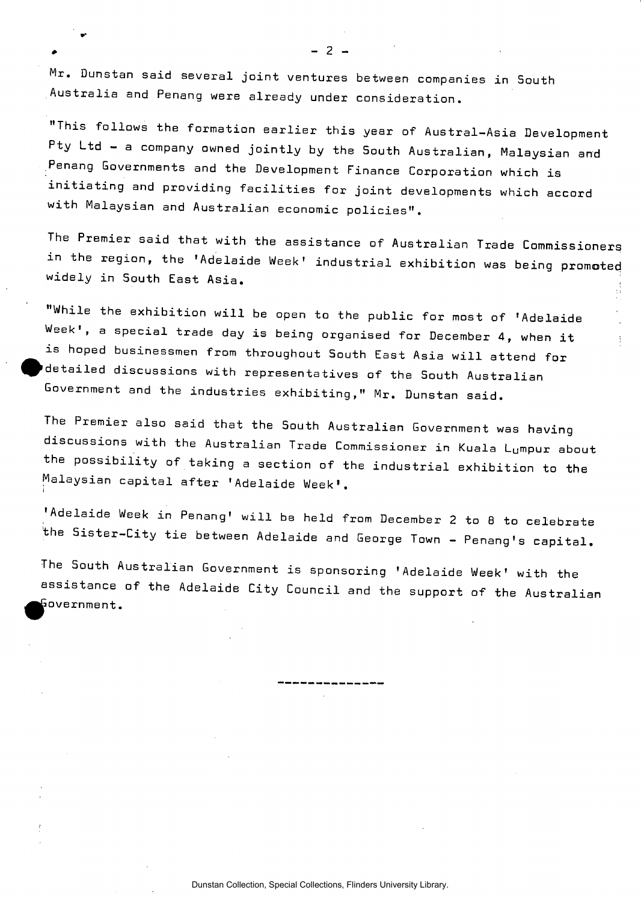Mr. Dunstan said several joint ventures between companies in South Australia and Penang were already under consideration.

"This follows the formation earlier this year of Austral-Asia Development Pty Ltd - a company owned jointly by the South Australian, Malaysian and Penang Governments and the Development Finance Corporation which is initiating and providing facilities for joint developments which accord with Malaysian and Australian economic policies".

The Premier said that with the assistance of Australian Trade Commissioners in the region, the 'Adelaide Week' industrial exhibition was being promoted widely in South East Asia.

"While the exhibition will be open to the public for most of 'Adelaide Week', a special trade day is being organised for December 4, when it is hoped businessmen from throughout South East Asia will attend for •detailed discussions with representatives of the South Australian Government and the industries exhibiting," Mr. Dunstan said.

The Premier also said that the South Australian Government was having discussions with the Australian Trade Commissioner in Kuala Lumpur about the possibility of taking a section of the industrial exhibition to the Malaysian capital after 'Adelaide Week'.

'Adelaide Week in Penang' will be held from December 2 to 8 to celebrate the Sister-City tie between Adelaide and George Town - Penang's capital.

The South Australian Government is sponsoring 'Adelaide Week' with the assistance of the Adelaide City Council and the support of the Australian (Government.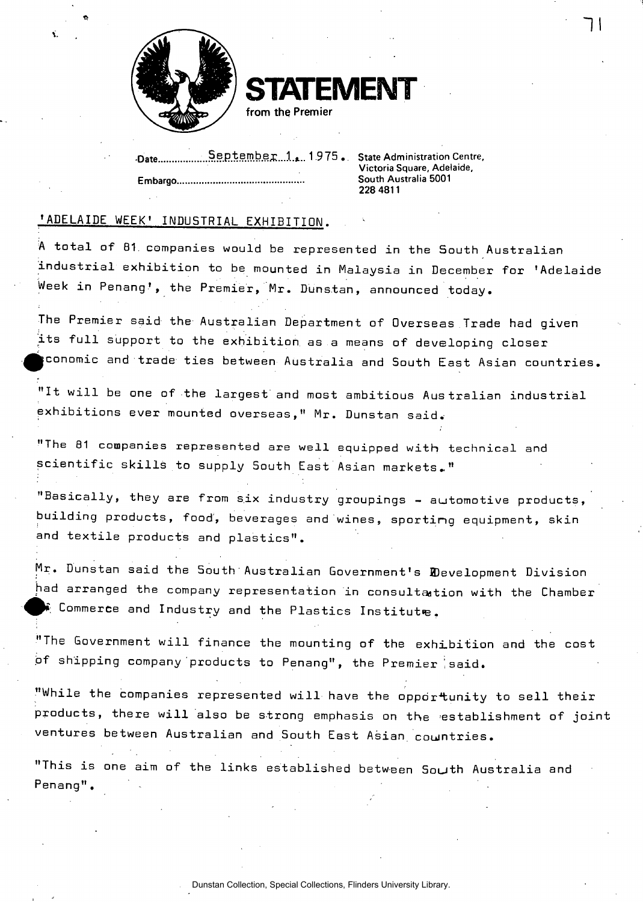

.Qate ...Sep tembej;...!.\*.. 1.9 75 . State Administration Centre, **Embargo South Australia 5001** 

**Victoria Square, Adelaide, 228 4811** 

## 'ADELAIDE WEEK' INDUSTRIAL EXHIBITION.

A total of 81. companies would be represented in the South Australian industrial exhibition to be mounted in Malaysia in December for 'Adelaide Week in Penang', the Premier, Mr. Dunstan, announced today.

**TATEMEN** 

**from the Premier** 

The Premier said the Australian Department of Overseas Trade had given its full support to the exhibition as a means of developing closer jconomic and trade ties between Australia and South East Asian countries.

"It will be one of the largest and most ambitious Australian industrial exhibitions ever mounted overseas," Mr. Dunstan said.

"The 81 companies represented are well equipped with technical and scientific skills to supply South East Asian markets.."

"Basically, they are from six industry groupings - automotive products, building products, food', beverages and wines, sporting equipment, skin and textile products and plastics".

Mr. Dunstan said the 5outh Australian Government's BDevelopment Division had arranged the company representation in consultation with the Chamber  $\hat{E}$  Commerce and Industry and the Plastics Institute.

"The Government will finance the mounting of the exhibition and the cost of shipping company products to Penang", the Premier isaid.

"While the companies represented will have the opportunity to sell their products, there will also be strong emphasis on the establishment of joint ventures between Australian and South East Asian, countries.

"This is one aim of the links established between South Australia and Penang".